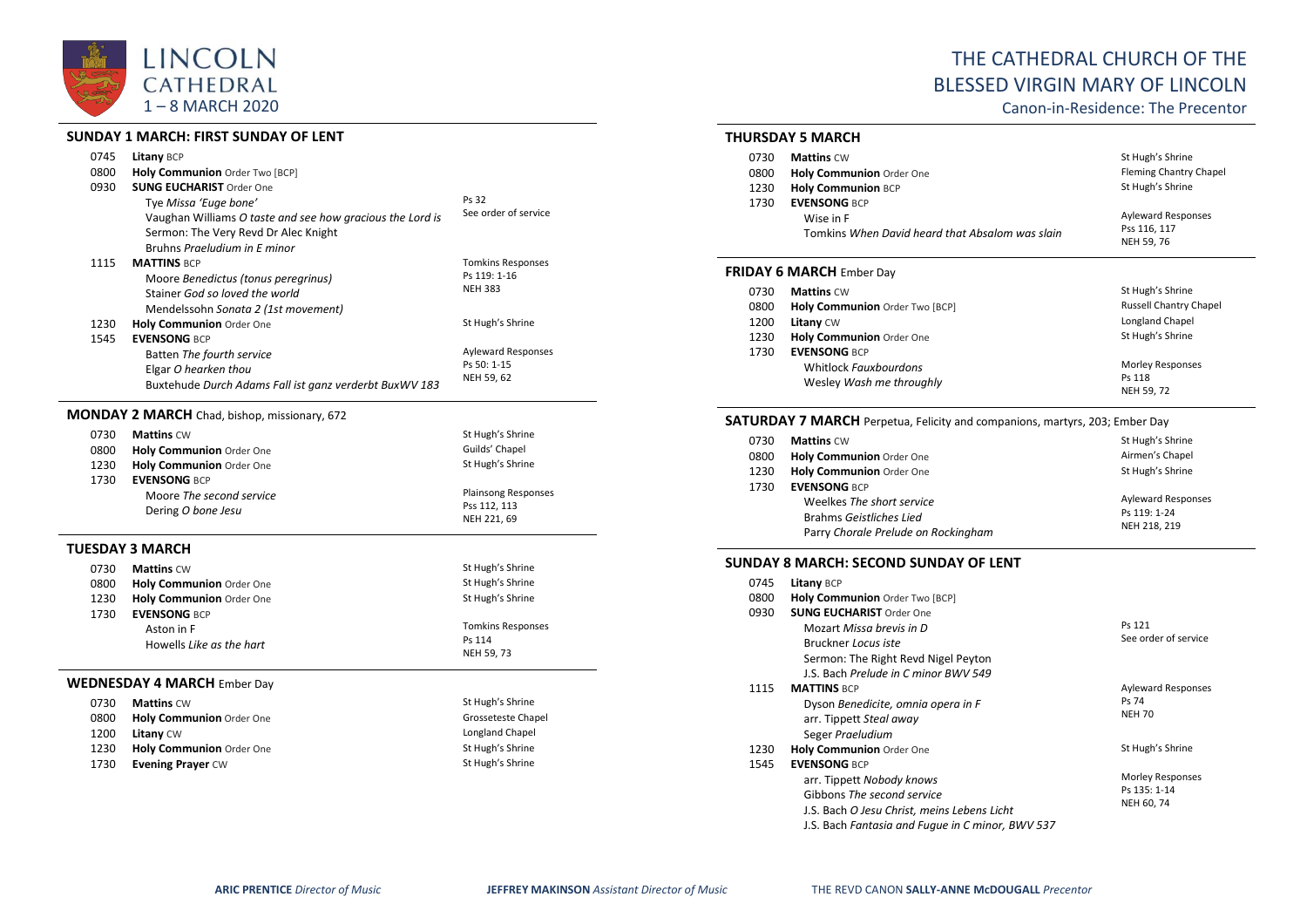

#### **SUNDAY 1 MARCH: FIRST SUNDAY OF LENT**

| 0745 | <b>Litany BCP</b>                                         |                           |
|------|-----------------------------------------------------------|---------------------------|
| 0800 | Holy Communion Order Two [BCP]                            |                           |
| 0930 | <b>SUNG EUCHARIST Order One</b>                           |                           |
|      | Tye Missa 'Euge bone'                                     | Ps 32                     |
|      | Vaughan Williams O taste and see how gracious the Lord is | See order of service      |
|      | Sermon: The Very Revd Dr Alec Knight                      |                           |
|      | Bruhns <i>Praeludium in F minor</i>                       |                           |
| 1115 | <b>MATTINS BCP</b>                                        | <b>Tomkins Responses</b>  |
|      | Moore Benedictus (tonus peregrinus)                       | Ps 119: 1-16              |
|      | Stainer God so loved the world                            | <b>NEH 383</b>            |
|      | Mendelssohn Sonata 2 (1st movement)                       |                           |
| 1230 | <b>Holy Communion Order One</b>                           | St Hugh's Shrine          |
| 1545 | <b>EVENSONG BCP</b>                                       |                           |
|      | Batten The fourth service                                 | <b>Ayleward Responses</b> |
|      | Elgar O hearken thou                                      | Ps 50: 1-15               |
|      | Buxtehude Durch Adams Fall ist ganz verderbt BuxWV 183    | NEH 59, 62                |
|      |                                                           |                           |

# **MONDAY 2 MARCH** Chad, bishop, missionary, 672

| 0730               | <b>Mattins CW</b>        | St Hugh's Shrine           |
|--------------------|--------------------------|----------------------------|
| 0800               | Holy Communion Order One | Guilds' Chapel             |
| 1230               | Holy Communion Order One | St Hugh's Shrine           |
| 1730               | <b>EVENSONG BCP</b>      |                            |
|                    | Moore The second service | <b>Plainsong Responses</b> |
| Dering O bone Jesu |                          | Pss 112, 113               |
|                    |                          | NEH 221, 69                |

# **TUESDAY 3 MARCH**

| 0730 | <b>Mattins CW</b>                  | St Hugh's Shrine         |
|------|------------------------------------|--------------------------|
|      |                                    |                          |
| 0800 | <b>Holy Communion Order One</b>    | St Hugh's Shrine         |
| 1230 | <b>Holy Communion Order One</b>    | St Hugh's Shrine         |
| 1730 | <b>EVENSONG BCP</b>                |                          |
|      | Aston in F                         | <b>Tomkins Responses</b> |
|      | Howells Like as the hart           | Ps 114                   |
|      |                                    | NEH 59, 73               |
|      | <b>WEDNESDAY 4 MARCH Ember Day</b> |                          |
| 0730 | <b>Mattins CW</b>                  | St Hugh's Shrine         |
| 0800 | <b>Holy Communion Order One</b>    | Grosseteste Chapel       |
| 1200 | <b>Litany CW</b>                   | Longland Chapel          |
| 1230 | <b>Holy Communion Order One</b>    | St Hugh's Shrine         |
| 1730 | <b>Evening Prayer CW</b>           | St Hugh's Shrine         |
|      |                                    |                          |
|      |                                    |                          |

# THE CATHEDRAL CHURCH OF THE BLESSED VIRGIN MARY OF LINCOLN

Canon-in-Residence: The Precentor

#### **THURSDAY 5 MARCH**

| 0730<br>0800<br>1230 | <b>Mattins CW</b><br><b>Holy Communion Order One</b><br><b>Holy Communion BCP</b>   | St Hugh's Shrine<br><b>Fleming Chantry Chapel</b><br>St Hugh's Shrine |
|----------------------|-------------------------------------------------------------------------------------|-----------------------------------------------------------------------|
| 1730                 | <b>EVENSONG BCP</b><br>Wise in F<br>Tomkins When David heard that Absalom was slain | <b>Ayleward Responses</b><br>Pss 116, 117<br>NEH 59, 76               |
|                      | <b>FRIDAY 6 MARCH</b> Ember Day                                                     |                                                                       |
| 0730                 | <b>Mattins CW</b>                                                                   | St Hugh's Shrine                                                      |
| 0800                 | Holy Communion Order Two [BCP]                                                      | Russell Chantry Chapel                                                |
| 1200                 | <b>Litany CW</b>                                                                    | Longland Chapel                                                       |

| 12UU. | Litany CW                | LUIRIANU CHAPEI  |
|-------|--------------------------|------------------|
| 1230  | Holy Communion Order One | St Hugh's Shrine |
| 1730  | <b>EVENSONG BCP</b>      |                  |
|       | Whitlock Fauxbourdons    | Morley Responses |
|       | Wesley Wash me throughly | Ps 118           |
|       |                          | NEH 59, 72       |

### **SATURDAY 7 MARCH** Perpetua, Felicity and companions, martyrs, 203; Ember Day

| 0730                    | <b>Mattins CW</b>                   | St Hugh's Shrine          |
|-------------------------|-------------------------------------|---------------------------|
| 0800                    | Holy Communion Order One            | Airmen's Chapel           |
| 1230                    | Holy Communion Order One            | St Hugh's Shrine          |
| 1730                    | <b>EVENSONG BCP</b>                 |                           |
|                         | Weelkes The short service           | <b>Ayleward Responses</b> |
| Brahms Geistliches Lied |                                     | Ps 119: 1-24              |
|                         | Parry Chorale Prelude on Rockingham | NEH 218, 219              |

#### **SUNDAY 8 MARCH: SECOND SUNDAY OF LENT**

| 0745 | <b>Litany BCP</b>                                |                           |
|------|--------------------------------------------------|---------------------------|
| 0800 | Holy Communion Order Two [BCP]                   |                           |
| 0930 | <b>SUNG EUCHARIST Order One</b>                  |                           |
|      | Mozart Missa brevis in D                         | Ps 121                    |
|      | Bruckner Locus iste                              | See order of service      |
|      | Sermon: The Right Revd Nigel Peyton              |                           |
|      | J.S. Bach Prelude in C minor BWV 549             |                           |
| 1115 | <b>MATTINS BCP</b>                               | <b>Ayleward Responses</b> |
|      | Dyson Benedicite, omnia opera in F               | Ps 74                     |
|      | arr. Tippett Steal away                          | <b>NEH 70</b>             |
|      | Seger Praeludium                                 |                           |
| 1230 | <b>Holy Communion Order One</b>                  | St Hugh's Shrine          |
| 1545 | <b>EVENSONG BCP</b>                              |                           |
|      | arr. Tippett Nobody knows                        | Morley Responses          |
|      | Gibbons The second service                       | Ps 135: 1-14              |
|      | J.S. Bach O Jesu Christ, meins Lebens Licht      | NEH 60, 74                |
|      | J.S. Bach Fantasia and Fugue in C minor, BWV 537 |                           |